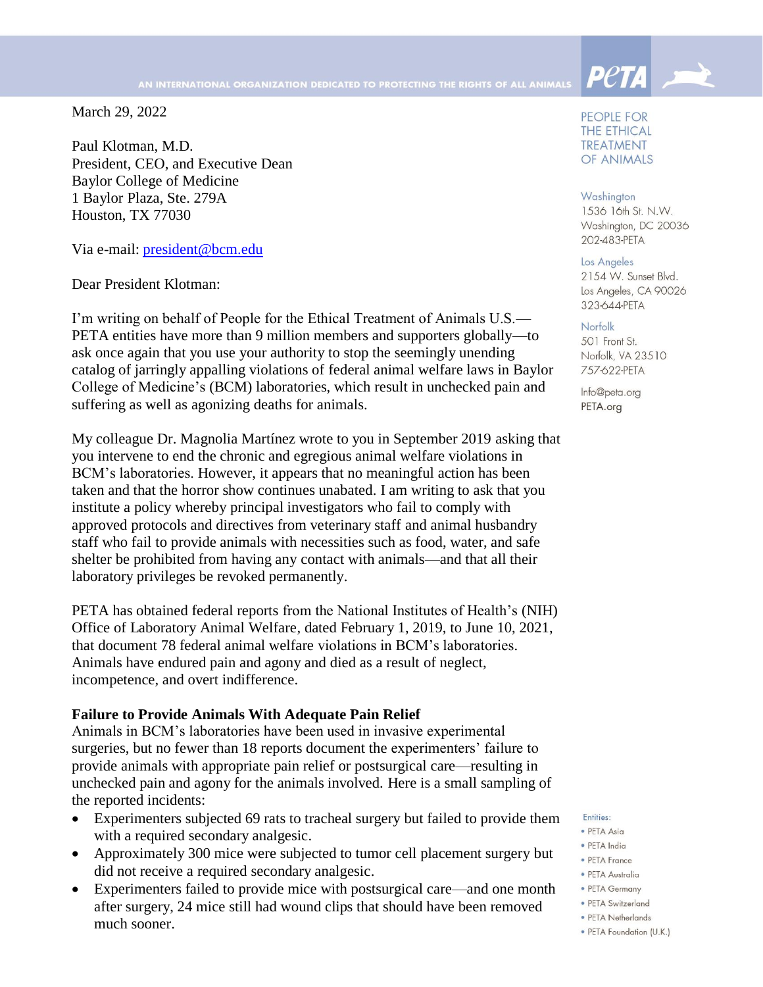March 29, 2022

Paul Klotman, M.D. President, CEO, and Executive Dean Baylor College of Medicine 1 Baylor Plaza, Ste. 279A Houston, TX 77030

Via e-mail: [president@bcm.edu](mailto:president@bcm.edu)

Dear President Klotman:

I'm writing on behalf of People for the Ethical Treatment of Animals U.S.— PETA entities have more than 9 million members and supporters globally—to ask once again that you use your authority to stop the seemingly unending catalog of jarringly appalling violations of federal animal welfare laws in Baylor College of Medicine's (BCM) laboratories, which result in unchecked pain and suffering as well as agonizing deaths for animals.

My colleague Dr. Magnolia Martínez wrote to you in September 2019 asking that you intervene to end the chronic and egregious animal welfare violations in BCM's laboratories. However, it appears that no meaningful action has been taken and that the horror show continues unabated. I am writing to ask that you institute a policy whereby principal investigators who fail to comply with approved protocols and directives from veterinary staff and animal husbandry staff who fail to provide animals with necessities such as food, water, and safe shelter be prohibited from having any contact with animals—and that all their laboratory privileges be revoked permanently.

PETA has obtained federal reports from the National Institutes of Health's (NIH) Office of Laboratory Animal Welfare, dated February 1, 2019, to June 10, 2021, that document 78 federal animal welfare violations in BCM's laboratories. Animals have endured pain and agony and died as a result of neglect, incompetence, and overt indifference.

#### **Failure to Provide Animals With Adequate Pain Relief**

Animals in BCM's laboratories have been used in invasive experimental surgeries, but no fewer than 18 reports document the experimenters' failure to provide animals with appropriate pain relief or postsurgical care—resulting in unchecked pain and agony for the animals involved. Here is a small sampling of the reported incidents:

- Experimenters subjected 69 rats to tracheal surgery but failed to provide them with a required secondary analgesic.
- Approximately 300 mice were subjected to tumor cell placement surgery but did not receive a required secondary analgesic.
- Experimenters failed to provide mice with postsurgical care—and one month after surgery, 24 mice still had wound clips that should have been removed much sooner.

PEOPLE FOR **THE ETHICAL TREATMENT** OF ANIMALS

**Peta** 

#### Washington

1536 16th St. N.W. Washington, DC 20036 202-483-PETA

Los Angeles 2154 W. Sunset Blvd. Los Angeles, CA 90026 323-644-PETA

#### Norfolk

501 Front St. Norfolk, VA 23510 757-622-PETA

Info@peta.org PETA.org

#### Entities:

- · PETA Asia · PETA India
- PETA France
- · PETA Australia
- PETA Germany
- · PETA Switzerland
- PETA Netherlands
- · PETA Foundation (U.K.)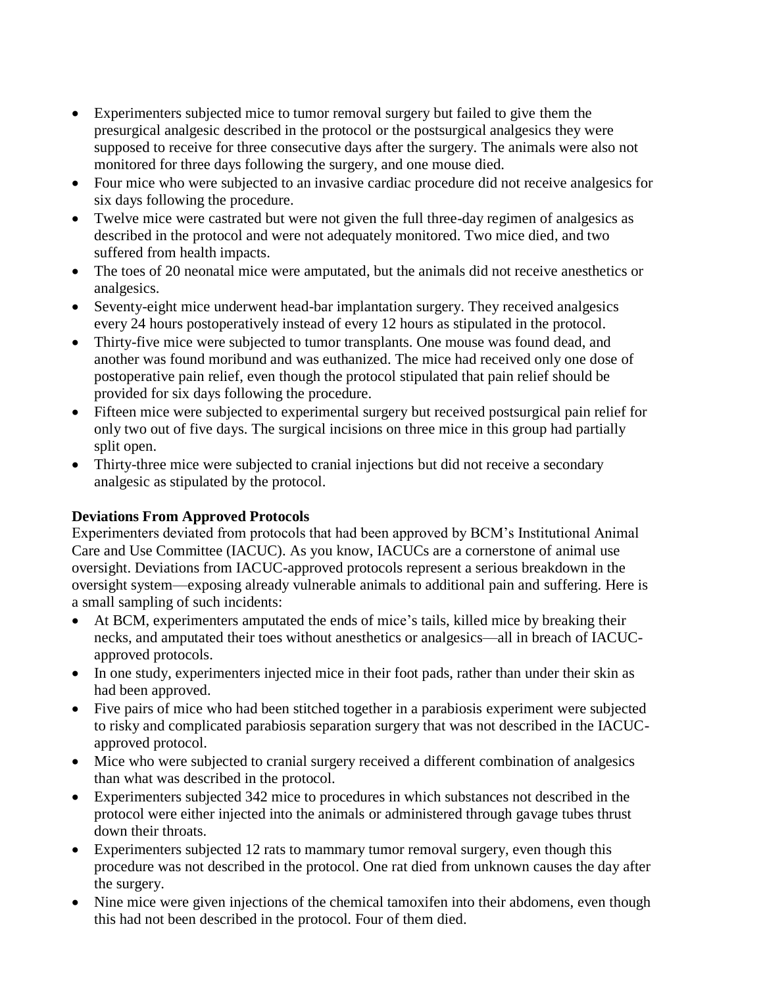- Experimenters subjected mice to tumor removal surgery but failed to give them the presurgical analgesic described in the protocol or the postsurgical analgesics they were supposed to receive for three consecutive days after the surgery. The animals were also not monitored for three days following the surgery, and one mouse died.
- Four mice who were subjected to an invasive cardiac procedure did not receive analgesics for six days following the procedure.
- Twelve mice were castrated but were not given the full three-day regimen of analgesics as described in the protocol and were not adequately monitored. Two mice died, and two suffered from health impacts.
- The toes of 20 neonatal mice were amputated, but the animals did not receive anesthetics or analgesics.
- Seventy-eight mice underwent head-bar implantation surgery. They received analgesics every 24 hours postoperatively instead of every 12 hours as stipulated in the protocol.
- Thirty-five mice were subjected to tumor transplants. One mouse was found dead, and another was found moribund and was euthanized. The mice had received only one dose of postoperative pain relief, even though the protocol stipulated that pain relief should be provided for six days following the procedure.
- Fifteen mice were subjected to experimental surgery but received postsurgical pain relief for only two out of five days. The surgical incisions on three mice in this group had partially split open.
- Thirty-three mice were subjected to cranial injections but did not receive a secondary analgesic as stipulated by the protocol.

# **Deviations From Approved Protocols**

Experimenters deviated from protocols that had been approved by BCM's Institutional Animal Care and Use Committee (IACUC). As you know, IACUCs are a cornerstone of animal use oversight. Deviations from IACUC-approved protocols represent a serious breakdown in the oversight system—exposing already vulnerable animals to additional pain and suffering. Here is a small sampling of such incidents:

- At BCM, experimenters amputated the ends of mice's tails, killed mice by breaking their necks, and amputated their toes without anesthetics or analgesics—all in breach of IACUCapproved protocols.
- In one study, experimenters injected mice in their foot pads, rather than under their skin as had been approved.
- Five pairs of mice who had been stitched together in a parabiosis experiment were subjected to risky and complicated parabiosis separation surgery that was not described in the IACUCapproved protocol.
- Mice who were subjected to cranial surgery received a different combination of analgesics than what was described in the protocol.
- Experimenters subjected 342 mice to procedures in which substances not described in the protocol were either injected into the animals or administered through gavage tubes thrust down their throats.
- Experimenters subjected 12 rats to mammary tumor removal surgery, even though this procedure was not described in the protocol. One rat died from unknown causes the day after the surgery.
- Nine mice were given injections of the chemical tamoxifen into their abdomens, even though this had not been described in the protocol. Four of them died.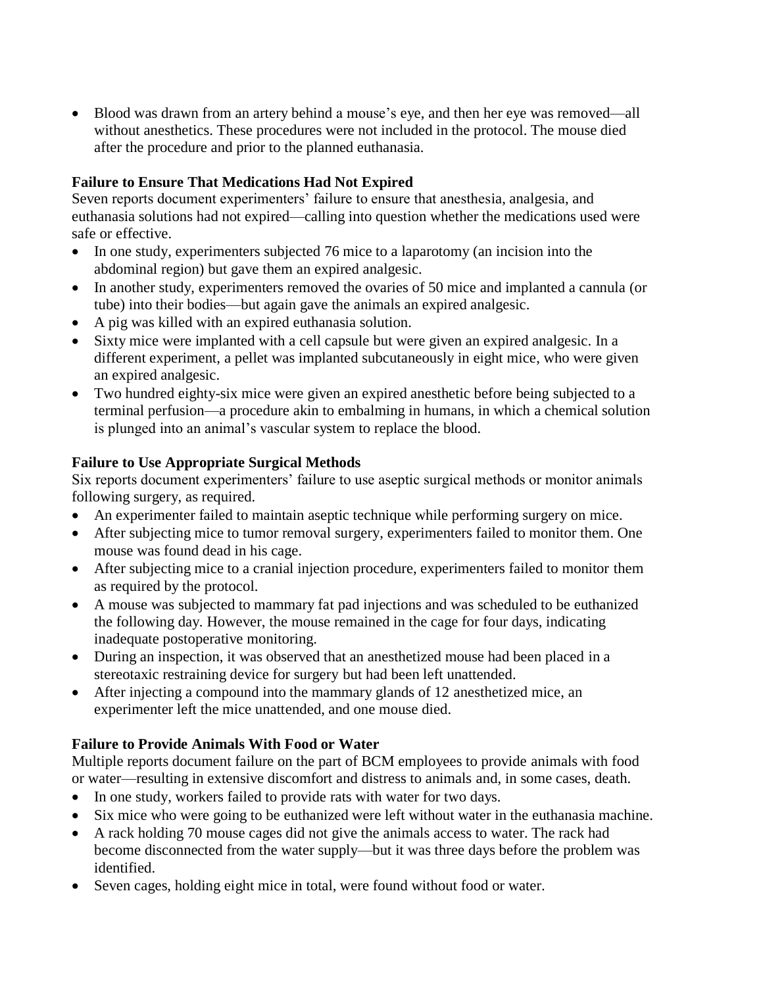Blood was drawn from an artery behind a mouse's eye, and then her eye was removed—all without anesthetics. These procedures were not included in the protocol. The mouse died after the procedure and prior to the planned euthanasia.

## **Failure to Ensure That Medications Had Not Expired**

Seven reports document experimenters' failure to ensure that anesthesia, analgesia, and euthanasia solutions had not expired—calling into question whether the medications used were safe or effective.

- In one study, experimenters subjected 76 mice to a laparotomy (an incision into the abdominal region) but gave them an expired analgesic.
- In another study, experimenters removed the ovaries of 50 mice and implanted a cannula (or tube) into their bodies—but again gave the animals an expired analgesic.
- A pig was killed with an expired euthanasia solution.
- Sixty mice were implanted with a cell capsule but were given an expired analgesic. In a different experiment, a pellet was implanted subcutaneously in eight mice, who were given an expired analgesic.
- Two hundred eighty-six mice were given an expired anesthetic before being subjected to a terminal perfusion—a procedure akin to embalming in humans, in which a chemical solution is plunged into an animal's vascular system to replace the blood.

# **Failure to Use Appropriate Surgical Methods**

Six reports document experimenters' failure to use aseptic surgical methods or monitor animals following surgery, as required.

- An experimenter failed to maintain aseptic technique while performing surgery on mice.
- After subjecting mice to tumor removal surgery, experimenters failed to monitor them. One mouse was found dead in his cage.
- After subjecting mice to a cranial injection procedure, experimenters failed to monitor them as required by the protocol.
- A mouse was subjected to mammary fat pad injections and was scheduled to be euthanized the following day. However, the mouse remained in the cage for four days, indicating inadequate postoperative monitoring.
- During an inspection, it was observed that an anesthetized mouse had been placed in a stereotaxic restraining device for surgery but had been left unattended.
- After injecting a compound into the mammary glands of 12 anesthetized mice, an experimenter left the mice unattended, and one mouse died.

# **Failure to Provide Animals With Food or Water**

Multiple reports document failure on the part of BCM employees to provide animals with food or water—resulting in extensive discomfort and distress to animals and, in some cases, death.

- In one study, workers failed to provide rats with water for two days.
- Six mice who were going to be euthanized were left without water in the euthanasia machine.
- A rack holding 70 mouse cages did not give the animals access to water. The rack had become disconnected from the water supply—but it was three days before the problem was identified.
- Seven cages, holding eight mice in total, were found without food or water.